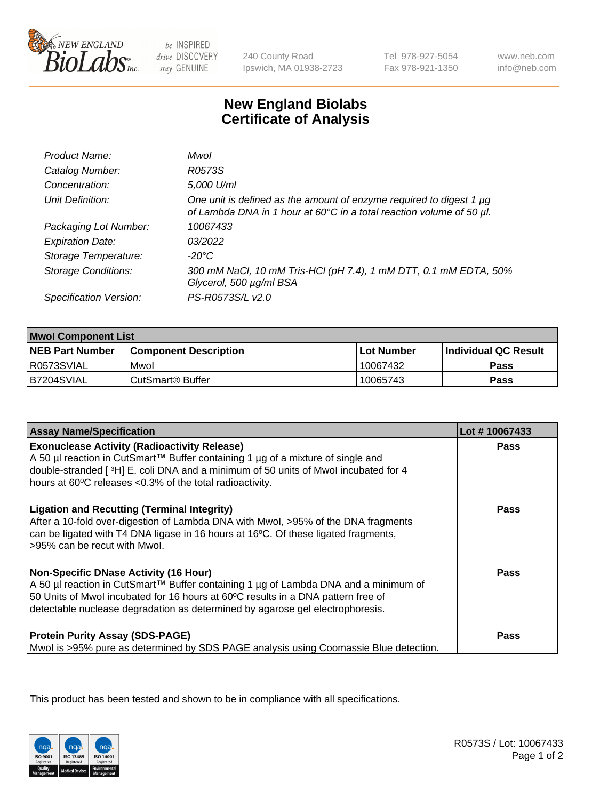

be INSPIRED drive DISCOVERY stay GENUINE

240 County Road Ipswich, MA 01938-2723

Tel 978-927-5054 Fax 978-921-1350

www.neb.com info@neb.com

## **New England Biolabs Certificate of Analysis**

| Product Name:              | Mwol                                                                                                                                             |
|----------------------------|--------------------------------------------------------------------------------------------------------------------------------------------------|
| Catalog Number:            | R0573S                                                                                                                                           |
| Concentration:             | 5,000 U/ml                                                                                                                                       |
| Unit Definition:           | One unit is defined as the amount of enzyme required to digest 1 $\mu$ g<br>of Lambda DNA in 1 hour at 60°C in a total reaction volume of 50 µl. |
| Packaging Lot Number:      | 10067433                                                                                                                                         |
| <b>Expiration Date:</b>    | 03/2022                                                                                                                                          |
| Storage Temperature:       | $-20^{\circ}$ C                                                                                                                                  |
| <b>Storage Conditions:</b> | 300 mM NaCl, 10 mM Tris-HCl (pH 7.4), 1 mM DTT, 0.1 mM EDTA, 50%<br>Glycerol, 500 µg/ml BSA                                                      |
| Specification Version:     | PS-R0573S/L v2.0                                                                                                                                 |

| <b>Mwol Component List</b> |                              |             |                             |  |
|----------------------------|------------------------------|-------------|-----------------------------|--|
| <b>NEB Part Number</b>     | <b>Component Description</b> | ⊺Lot Number | <b>Individual QC Result</b> |  |
| I R0573SVIAL               | Mwol                         | 10067432    | Pass                        |  |
| B7204SVIAL                 | l CutSmart® Buffer           | 10065743    | Pass                        |  |

| <b>Assay Name/Specification</b>                                                                                                                                                                                                                                                                          | Lot #10067433 |
|----------------------------------------------------------------------------------------------------------------------------------------------------------------------------------------------------------------------------------------------------------------------------------------------------------|---------------|
| <b>Exonuclease Activity (Radioactivity Release)</b><br>A 50 µl reaction in CutSmart™ Buffer containing 1 µg of a mixture of single and<br>double-stranded [3H] E. coli DNA and a minimum of 50 units of Mwol incubated for 4<br>hours at 60°C releases <0.3% of the total radioactivity.                 | <b>Pass</b>   |
| <b>Ligation and Recutting (Terminal Integrity)</b><br>After a 10-fold over-digestion of Lambda DNA with Mwol, >95% of the DNA fragments<br>can be ligated with T4 DNA ligase in 16 hours at 16°C. Of these ligated fragments,<br>>95% can be recut with Mwol.                                            | Pass          |
| <b>Non-Specific DNase Activity (16 Hour)</b><br>A 50 µl reaction in CutSmart™ Buffer containing 1 µg of Lambda DNA and a minimum of<br>50 Units of Mwol incubated for 16 hours at 60°C results in a DNA pattern free of<br>detectable nuclease degradation as determined by agarose gel electrophoresis. | Pass          |
| <b>Protein Purity Assay (SDS-PAGE)</b><br>Mwol is >95% pure as determined by SDS PAGE analysis using Coomassie Blue detection.                                                                                                                                                                           | Pass          |

This product has been tested and shown to be in compliance with all specifications.